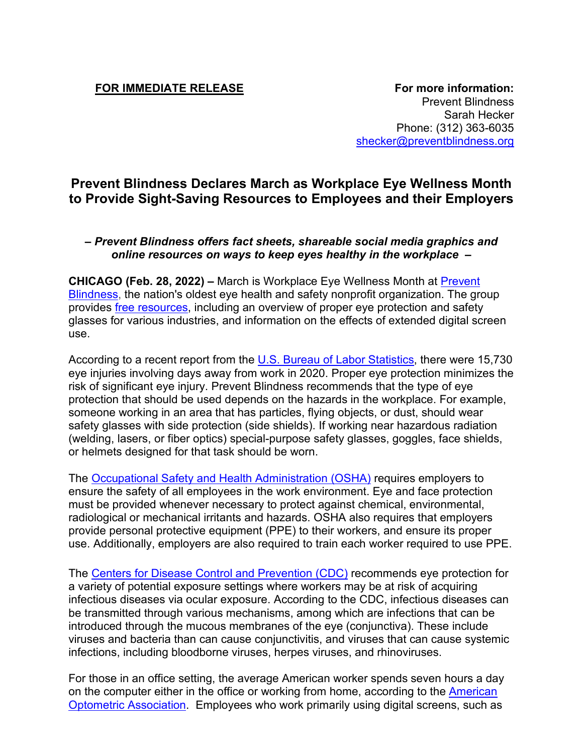**FOR IMMEDIATE RELEASE FOR IMMEDIATE RELEASE** Prevent Blindness Sarah Hecker Phone: (312) 363-6035 [shecker@preventblindness.org](about:blank)

## **Prevent Blindness Declares March as Workplace Eye Wellness Month to Provide Sight-Saving Resources to Employees and their Employers**

## *– Prevent Blindness offers fact sheets, shareable social media graphics and online resources on ways to keep eyes healthy in the workplace –*

**CHICAGO (Feb. 28, 2022) –** March is Workplace Eye Wellness Month at [Prevent](about:blank)  [Blindness,](about:blank) the nation's oldest eye health and safety nonprofit organization. The group provides *free resources*, including an overview of proper eye protection and safety glasses for various industries, and information on the effects of extended digital screen use.

According to a recent report from the [U.S. Bureau of Labor Statistics,](about:blank) there were 15,730 eye injuries involving days away from work in 2020. Proper eye protection minimizes the risk of significant eye injury. Prevent Blindness recommends that the type of eye protection that should be used depends on the hazards in the workplace. For example, someone working in an area that has particles, flying objects, or dust, should wear safety glasses with side protection (side shields). If working near hazardous radiation (welding, lasers, or fiber optics) special-purpose safety glasses, goggles, face shields, or helmets designed for that task should be worn.

The [Occupational Safety and Health Administration \(OSHA\)](about:blank) requires employers to ensure the safety of all employees in the work environment. Eye and face protection must be provided whenever necessary to protect against chemical, environmental, radiological or mechanical irritants and hazards. OSHA also requires that employers provide personal protective equipment (PPE) to their workers, and ensure its proper use. Additionally, employers are also required to train each worker required to use PPE.

The [Centers for Disease Control and Prevention \(CDC\)](about:blank) recommends eye protection for a variety of potential exposure settings where workers may be at risk of acquiring infectious diseases via ocular exposure. According to the CDC, infectious diseases can be transmitted through various mechanisms, among which are infections that can be introduced through the mucous membranes of the eye (conjunctiva). These include viruses and bacteria than can cause conjunctivitis, and viruses that can cause systemic infections, including bloodborne viruses, herpes viruses, and rhinoviruses.

For those in an office setting, the average American worker spends seven hours a day on the computer either in the office or working from home, according to the [American](about:blank)  [Optometric Association.](about:blank) Employees who work primarily using digital screens, such as